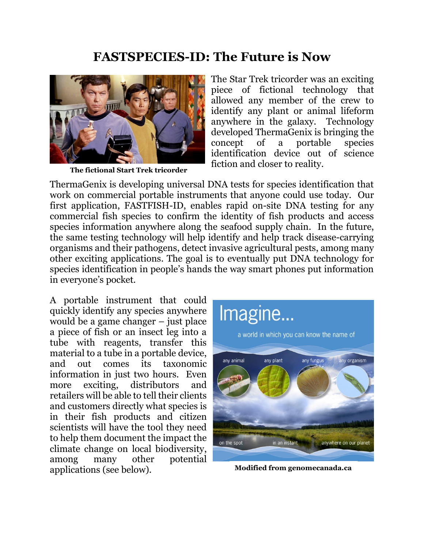## **FASTSPECIES-ID: The Future is Now**



**The fictional Start Trek tricorder**

The Star Trek tricorder was an exciting piece of fictional technology that allowed any member of the crew to identify any plant or animal lifeform anywhere in the galaxy. Technology developed ThermaGenix is bringing the concept of a portable species identification device out of science fiction and closer to reality.

ThermaGenix is developing universal DNA tests for species identification that work on commercial portable instruments that anyone could use today. Our first application, FASTFISH-ID, enables rapid on-site DNA testing for any commercial fish species to confirm the identity of fish products and access species information anywhere along the seafood supply chain. In the future, the same testing technology will help identify and help track disease-carrying organisms and their pathogens, detect invasive agricultural pests, among many other exciting applications. The goal is to eventually put DNA technology for species identification in people's hands the way smart phones put information in everyone's pocket.

A portable instrument that could quickly identify any species anywhere would be a game changer – just place a piece of fish or an insect leg into a tube with reagents, transfer this material to a tube in a portable device, and out comes its taxonomic information in just two hours. Even more exciting, distributors and retailers will be able to tell their clients and customers directly what species is in their fish products and citizen scientists will have the tool they need to help them document the impact the climate change on local biodiversity, among many other potential applications (see below). **Modified from genomecanada.ca** 

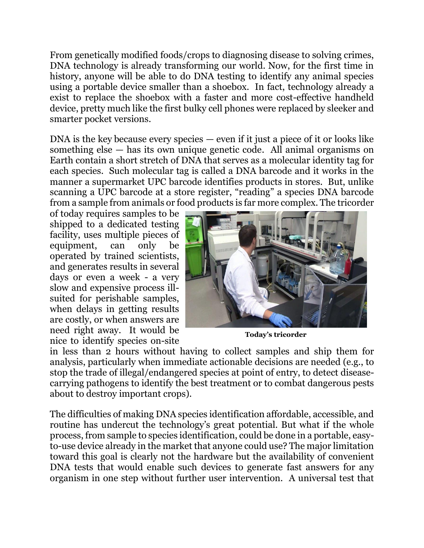From genetically modified foods/crops to diagnosing disease to solving crimes, DNA technology is already transforming our world. Now, for the first time in history, anyone will be able to do DNA testing to identify any animal species using a portable device smaller than a shoebox. In fact, technology already a exist to replace the shoebox with a faster and more cost-effective handheld device, pretty much like the first bulky cell phones were replaced by sleeker and smarter pocket versions.

DNA is the key because every species — even if it just a piece of it or looks like something else — has its own unique genetic code. All animal organisms on Earth contain a short stretch of DNA that serves as a molecular identity tag for each species. Such molecular tag is called a DNA barcode and it works in the manner a supermarket UPC barcode identifies products in stores. But, unlike scanning a UPC barcode at a store register, "reading" a species DNA barcode from a sample from animals or food products is far more complex. The tricorder

of today requires samples to be shipped to a dedicated testing facility, uses multiple pieces of equipment, can only be operated by trained scientists, and generates results in several days or even a week - a very slow and expensive process illsuited for perishable samples, when delays in getting results are costly, or when answers are need right away. It would be nice to identify species on-site



**Today's tricorder**

in less than 2 hours without having to collect samples and ship them for analysis, particularly when immediate actionable decisions are needed (e.g., to stop the trade of illegal/endangered species at point of entry, to detect diseasecarrying pathogens to identify the best treatment or to combat dangerous pests about to destroy important crops).

The difficulties of making DNA species identification affordable, accessible, and routine has undercut the technology's great potential. But what if the whole process, from sample to species identification, could be done in a portable, easyto-use device already in the market that anyone could use? The major limitation toward this goal is clearly not the hardware but the availability of convenient DNA tests that would enable such devices to generate fast answers for any organism in one step without further user intervention. A universal test that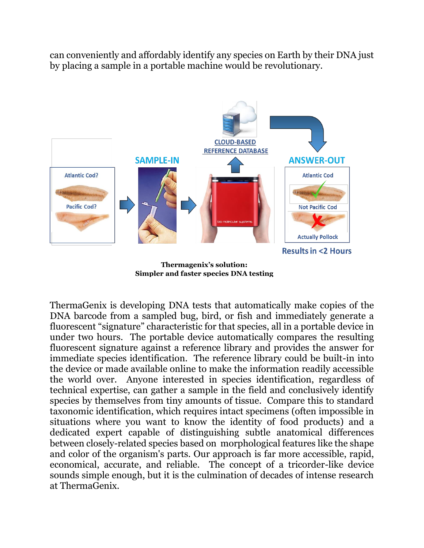can conveniently and affordably identify any species on Earth by their DNA just by placing a sample in a portable machine would be revolutionary.



**Simpler and faster species DNA testing**

ThermaGenix is developing DNA tests that automatically make copies of the DNA barcode from a sampled bug, bird, or fish and immediately generate a fluorescent "signature" characteristic for that species, all in a portable device in under two hours. The portable device automatically compares the resulting fluorescent signature against a reference library and provides the answer for immediate species identification. The reference library could be built-in into the device or made available online to make the information readily accessible the world over. Anyone interested in species identification, regardless of technical expertise, can gather a sample in the field and conclusively identify species by themselves from tiny amounts of tissue. Compare this to standard taxonomic identification, which requires intact specimens (often impossible in situations where you want to know the identity of food products) and a dedicated expert capable of distinguishing subtle anatomical differences between closely-related species based on morphological features like the shape and color of the organism's parts. Our approach is far more accessible, rapid, economical, accurate, and reliable. The concept of a tricorder-like device sounds simple enough, but it is the culmination of decades of intense research at ThermaGenix.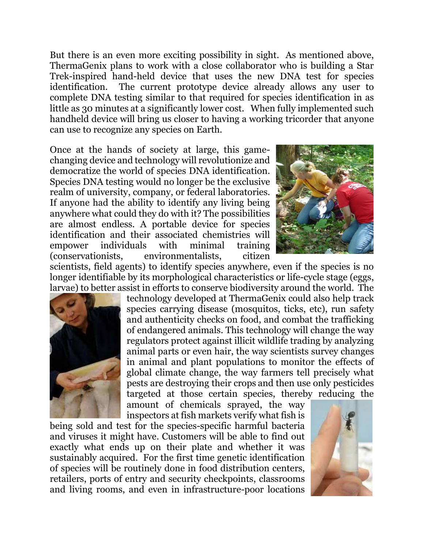But there is an even more exciting possibility in sight. As mentioned above, ThermaGenix plans to work with a close collaborator who is building a Star Trek-inspired hand-held device that uses the new DNA test for species identification. The current prototype device already allows any user to complete DNA testing similar to that required for species identification in as little as 30 minutes at a significantly lower cost. When fully implemented such handheld device will bring us closer to having a working tricorder that anyone can use to recognize any species on Earth.

Once at the hands of society at large, this gamechanging device and technology will revolutionize and democratize the world of species DNA identification. Species DNA testing would no longer be the exclusive realm of university, company, or federal laboratories. If anyone had the ability to identify any living being anywhere what could they do with it? The possibilities are almost endless. A portable device for species identification and their associated chemistries will empower individuals with minimal training (conservationists, environmentalists, citizen



scientists, field agents) to identify species anywhere, even if the species is no longer identifiable by its morphological characteristics or life-cycle stage (eggs, larvae) to better assist in efforts to conserve biodiversity around the world. The



technology developed at ThermaGenix could also help track species carrying disease (mosquitos, ticks, etc), run safety and authenticity checks on food, and combat the trafficking of endangered animals. This technology will change the way regulators protect against illicit wildlife trading by analyzing animal parts or even hair, the way scientists survey changes in animal and plant populations to monitor the effects of global climate change, the way farmers tell precisely what pests are destroying their crops and then use only pesticides targeted at those certain species, thereby reducing the

amount of chemicals sprayed, the way inspectors at fish markets verify what fish is

being sold and test for the species-specific harmful bacteria and viruses it might have. Customers will be able to find out exactly what ends up on their plate and whether it was sustainably acquired. For the first time genetic identification of species will be routinely done in food distribution centers, retailers, ports of entry and security checkpoints, classrooms and living rooms, and even in infrastructure-poor locations

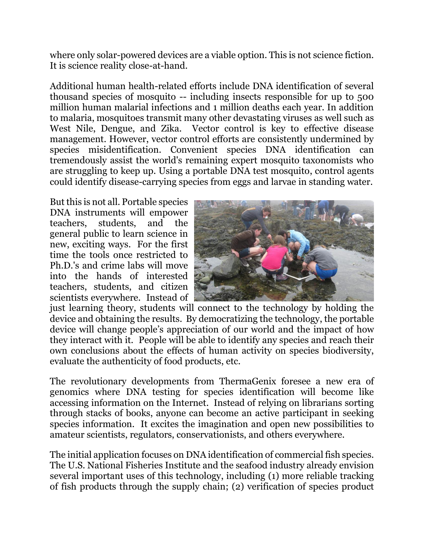where only solar-powered devices are a viable option. This is not science fiction. It is science reality close-at-hand.

Additional human health-related efforts include DNA identification of several thousand species of mosquito -- including insects responsible for up to 500 million human malarial infections and 1 million deaths each year. In addition to malaria, mosquitoes transmit many other devastating viruses as well such as West Nile, Dengue, and Zika. Vector control is key to effective disease management. However, vector control efforts are consistently undermined by species misidentification. Convenient species DNA identification can tremendously assist the world's remaining expert mosquito taxonomists who are struggling to keep up. Using a portable DNA test mosquito, control agents could identify disease-carrying species from eggs and larvae in standing water.

But this is not all. Portable species DNA instruments will empower teachers, students, and the general public to learn science in new, exciting ways. For the first time the tools once restricted to Ph.D.'s and crime labs will move into the hands of interested teachers, students, and citizen scientists everywhere. Instead of



just learning theory, students will connect to the technology by holding the device and obtaining the results. By democratizing the technology, the portable device will change people's appreciation of our world and the impact of how they interact with it. People will be able to identify any species and reach their own conclusions about the effects of human activity on species biodiversity, evaluate the authenticity of food products, etc.

The revolutionary developments from ThermaGenix foresee a new era of genomics where DNA testing for species identification will become like accessing information on the Internet. Instead of relying on librarians sorting through stacks of books, anyone can become an active participant in seeking species information. It excites the imagination and open new possibilities to amateur scientists, regulators, conservationists, and others everywhere.

The initial application focuses on DNA identification of commercial fish species. The U.S. National Fisheries Institute and the seafood industry already envision several important uses of this technology, including (1) more reliable tracking of fish products through the supply chain; (2) verification of species product